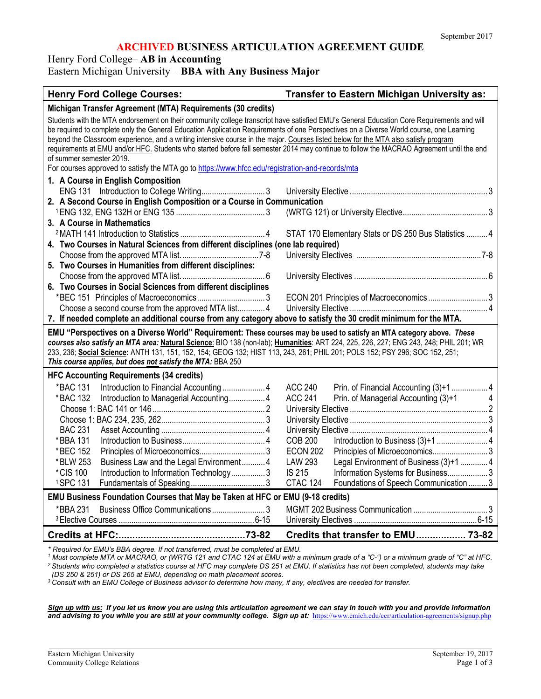### **ARCHIVED BUSINESS ARTICULATION AGREEMENT GUIDE**

Henry Ford College– **AB in Accounting**

Eastern Michigan University – **BBA with Any Business Major**

| <b>Henry Ford College Courses:</b>                                                                                                                                                                                                                                                                                                                                                                                                                                                                                                                                                                  | Transfer to Eastern Michigan University as:                 |  |
|-----------------------------------------------------------------------------------------------------------------------------------------------------------------------------------------------------------------------------------------------------------------------------------------------------------------------------------------------------------------------------------------------------------------------------------------------------------------------------------------------------------------------------------------------------------------------------------------------------|-------------------------------------------------------------|--|
| Michigan Transfer Agreement (MTA) Requirements (30 credits)                                                                                                                                                                                                                                                                                                                                                                                                                                                                                                                                         |                                                             |  |
| Students with the MTA endorsement on their community college transcript have satisfied EMU's General Education Core Requirements and will<br>be required to complete only the General Education Application Requirements of one Perspectives on a Diverse World course, one Learning<br>beyond the Classroom experience, and a writing intensive course in the major. Courses listed below for the MTA also satisfy program<br>requirements at EMU and/or HFC. Students who started before fall semester 2014 may continue to follow the MACRAO Agreement until the end<br>of summer semester 2019. |                                                             |  |
| For courses approved to satisfy the MTA go to https://www.hfcc.edu/registration-and-records/mta<br>1. A Course in English Composition                                                                                                                                                                                                                                                                                                                                                                                                                                                               |                                                             |  |
|                                                                                                                                                                                                                                                                                                                                                                                                                                                                                                                                                                                                     |                                                             |  |
| 2. A Second Course in English Composition or a Course in Communication                                                                                                                                                                                                                                                                                                                                                                                                                                                                                                                              |                                                             |  |
|                                                                                                                                                                                                                                                                                                                                                                                                                                                                                                                                                                                                     |                                                             |  |
| 3. A Course in Mathematics                                                                                                                                                                                                                                                                                                                                                                                                                                                                                                                                                                          |                                                             |  |
|                                                                                                                                                                                                                                                                                                                                                                                                                                                                                                                                                                                                     | STAT 170 Elementary Stats or DS 250 Bus Statistics  4       |  |
| 4. Two Courses in Natural Sciences from different disciplines (one lab required)                                                                                                                                                                                                                                                                                                                                                                                                                                                                                                                    |                                                             |  |
|                                                                                                                                                                                                                                                                                                                                                                                                                                                                                                                                                                                                     |                                                             |  |
| 5. Two Courses in Humanities from different disciplines:                                                                                                                                                                                                                                                                                                                                                                                                                                                                                                                                            |                                                             |  |
|                                                                                                                                                                                                                                                                                                                                                                                                                                                                                                                                                                                                     |                                                             |  |
| 6. Two Courses in Social Sciences from different disciplines                                                                                                                                                                                                                                                                                                                                                                                                                                                                                                                                        |                                                             |  |
| Choose a second course from the approved MTA list 4                                                                                                                                                                                                                                                                                                                                                                                                                                                                                                                                                 | ECON 201 Principles of Macroeconomics  3                    |  |
|                                                                                                                                                                                                                                                                                                                                                                                                                                                                                                                                                                                                     |                                                             |  |
| 7. If needed complete an additional course from any category above to satisfy the 30 credit minimum for the MTA.<br>EMU "Perspectives on a Diverse World" Requirement: These courses may be used to satisfy an MTA category above. These                                                                                                                                                                                                                                                                                                                                                            |                                                             |  |
| courses also satisfy an MTA area: Natural Science: BIO 138 (non-lab); Humanities: ART 224, 225, 226, 227; ENG 243, 248; PHIL 201; WR                                                                                                                                                                                                                                                                                                                                                                                                                                                                |                                                             |  |
| 233, 236; Social Science: ANTH 131, 151, 152, 154; GEOG 132; HIST 113, 243, 261; PHIL 201; POLS 152; PSY 296; SOC 152, 251;                                                                                                                                                                                                                                                                                                                                                                                                                                                                         |                                                             |  |
| This course applies, but does not satisfy the MTA: BBA 250                                                                                                                                                                                                                                                                                                                                                                                                                                                                                                                                          |                                                             |  |
| <b>HFC Accounting Requirements (34 credits)</b>                                                                                                                                                                                                                                                                                                                                                                                                                                                                                                                                                     |                                                             |  |
| *BAC 131                                                                                                                                                                                                                                                                                                                                                                                                                                                                                                                                                                                            | Prin. of Financial Accounting (3)+1  4<br>ACC 240           |  |
| Introduction to Managerial Accounting 4<br>*BAC 132                                                                                                                                                                                                                                                                                                                                                                                                                                                                                                                                                 | <b>ACC 241</b><br>Prin. of Managerial Accounting (3)+1<br>4 |  |
|                                                                                                                                                                                                                                                                                                                                                                                                                                                                                                                                                                                                     |                                                             |  |
|                                                                                                                                                                                                                                                                                                                                                                                                                                                                                                                                                                                                     |                                                             |  |
| <b>BAC 231</b>                                                                                                                                                                                                                                                                                                                                                                                                                                                                                                                                                                                      |                                                             |  |
| *BBA 131                                                                                                                                                                                                                                                                                                                                                                                                                                                                                                                                                                                            | <b>COB 200</b>                                              |  |
| *BEC 152                                                                                                                                                                                                                                                                                                                                                                                                                                                                                                                                                                                            | <b>ECON 202</b>                                             |  |
| *BLW 253<br>Business Law and the Legal Environment4                                                                                                                                                                                                                                                                                                                                                                                                                                                                                                                                                 | <b>LAW 293</b><br>Legal Environment of Business (3)+1  4    |  |
| *CIS 100<br>Introduction to Information Technology 3                                                                                                                                                                                                                                                                                                                                                                                                                                                                                                                                                | IS 215<br>Information Systems for Business 3                |  |
| <sup>1</sup> SPC 131                                                                                                                                                                                                                                                                                                                                                                                                                                                                                                                                                                                | Foundations of Speech Communication  3<br>CTAC 124          |  |
| EMU Business Foundation Courses that May be Taken at HFC or EMU (9-18 credits)                                                                                                                                                                                                                                                                                                                                                                                                                                                                                                                      |                                                             |  |
| Business Office Communications3<br>*BBA 231                                                                                                                                                                                                                                                                                                                                                                                                                                                                                                                                                         |                                                             |  |
|                                                                                                                                                                                                                                                                                                                                                                                                                                                                                                                                                                                                     |                                                             |  |
|                                                                                                                                                                                                                                                                                                                                                                                                                                                                                                                                                                                                     | Credits that transfer to EMU 73-82                          |  |

*\* Required for EMU's BBA degree. If not transferred, must be completed at EMU.*

*<sup>1</sup> Must complete MTA or MACRAO, or (WRTG 121 and CTAC 124 at EMU with a minimum grade of a "C-") or a minimum grade of "C" at HFC.*

*2 Students who completed a statistics course at HFC may complete DS 251 at EMU. If statistics has not been completed, students may take (DS 250 & 251) or DS 265 at EMU, depending on math placement scores.*

*<sup>3</sup> Consult with an EMU College of Business advisor to determine how many, if any, electives are needed for transfer.*

*Sign up with us: If you let us know you are using this articulation agreement we can stay in touch with you and provide information*  and advising to you while you are still at your community college. Sign up at: <https://www.emich.edu/ccr/articulation-agreements/signup.php>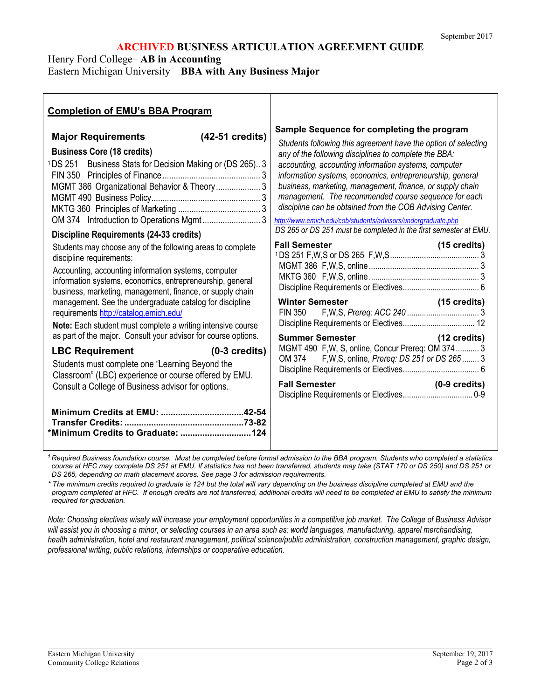### **ARCHIVED BUSINESS ARTICULATION AGREEMENT GUIDE**

Henry Ford College– **AB in Accounting**

Eastern Michigan University – **BBA with Any Business Major**

| <b>Completion of EMU's BBA Program</b>                                                                                                                                                                                                                                                                                                                                                                                                                                                                                                                                                                                                                                                                                                                                                                                                                                                                                                                                                               |                                                                                                                                                                                                                                                                                                                                                                                                                                                                                                                                                                                                                                                                                                                                                                                                                                                                                                                          |
|------------------------------------------------------------------------------------------------------------------------------------------------------------------------------------------------------------------------------------------------------------------------------------------------------------------------------------------------------------------------------------------------------------------------------------------------------------------------------------------------------------------------------------------------------------------------------------------------------------------------------------------------------------------------------------------------------------------------------------------------------------------------------------------------------------------------------------------------------------------------------------------------------------------------------------------------------------------------------------------------------|--------------------------------------------------------------------------------------------------------------------------------------------------------------------------------------------------------------------------------------------------------------------------------------------------------------------------------------------------------------------------------------------------------------------------------------------------------------------------------------------------------------------------------------------------------------------------------------------------------------------------------------------------------------------------------------------------------------------------------------------------------------------------------------------------------------------------------------------------------------------------------------------------------------------------|
| (42-51 credits)<br><b>Major Requirements</b><br><b>Business Core (18 credits)</b><br><sup>1</sup> DS 251 Business Stats for Decision Making or (DS 265)3<br>MGMT 386 Organizational Behavior & Theory  3<br><b>Discipline Requirements (24-33 credits)</b><br>Students may choose any of the following areas to complete<br>discipline requirements:<br>Accounting, accounting information systems, computer<br>information systems, economics, entrepreneurship, general<br>business, marketing, management, finance, or supply chain<br>management. See the undergraduate catalog for discipline<br>requirements http://catalog.emich.edu/<br>Note: Each student must complete a writing intensive course<br>as part of the major. Consult your advisor for course options.<br><b>LBC Requirement</b><br>$(0-3 \text{ credits})$<br>Students must complete one "Learning Beyond the<br>Classroom" (LBC) experience or course offered by EMU.<br>Consult a College of Business advisor for options. | Sample Sequence for completing the program<br>Students following this agreement have the option of selecting<br>any of the following disciplines to complete the BBA:<br>accounting, accounting information systems, computer<br>information systems, economics, entrepreneurship, general<br>business, marketing, management, finance, or supply chain<br>management. The recommended course sequence for each<br>discipline can be obtained from the COB Advising Center.<br>http://www.emich.edu/cob/students/advisors/undergraduate.php<br>DS 265 or DS 251 must be completed in the first semester at EMU.<br><b>Fall Semester</b><br>(15 credits)<br><b>Winter Semester</b><br>(15 credits)<br>FIN 350<br><b>Summer Semester</b><br>(12 credits)<br>MGMT 490 F, W, S, online, Concur Prereq: OM 374 3<br>F, W, S, online, Prereq: DS 251 or DS 265  3<br>OM 374<br><b>Fall Semester</b><br>$(0-9 \text{ credits})$ |

*<sup>1</sup> Required Business foundation course. Must be completed before formal admission to the BBA program. Students who completed a statistics course at HFC may complete DS 251 at EMU. If statistics has not been transferred, students may take (STAT 170 or DS 250) and DS 251 or DS 265, depending on math placement scores. See page 3 for admission requirements.*

*\* The minimum credits required to graduate is 124 but the total will vary depending on the business discipline completed at EMU and the program completed at HFC. If enough credits are not transferred, additional credits will need to be completed at EMU to satisfy the minimum required for graduation.* 

*Note: Choosing electives wisely will increase your employment opportunities in a competitive job market. The College of Business Advisor will assist you in choosing a minor, or selecting courses in an area such as: world languages, manufacturing, apparel merchandising, health administration, hotel and restaurant management, political science/public administration, construction management, graphic design, professional writing, public relations, internships or cooperative education.*